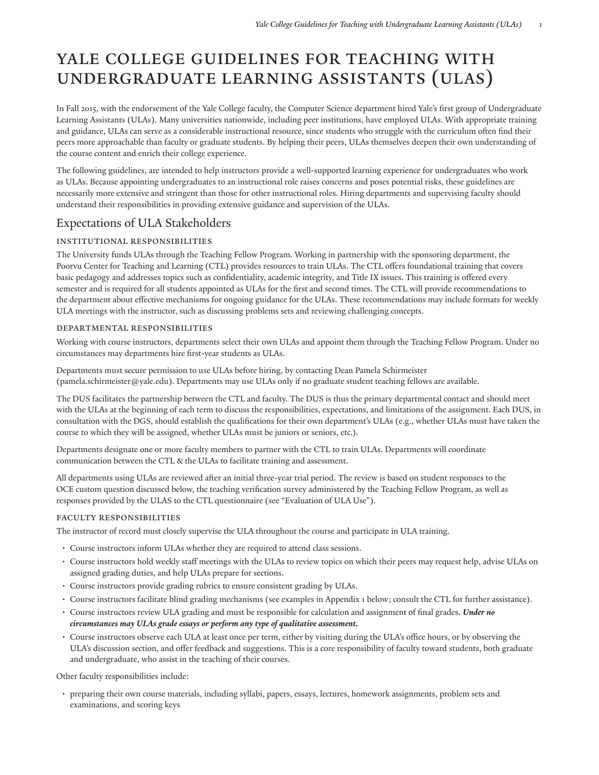# Yale College Guidelines for Teaching with Undergraduate Learning Assistants (ULAs)

In Fall 2015, with the endorsement of the Yale College faculty, the Computer Science department hired Yale's first group of Undergraduate Learning Assistants (ULAs). Many universities nationwide, including peer institutions, have employed ULAs. With appropriate training and guidance, ULAs can serve as a considerable instructional resource, since students who struggle with the curriculum often find their peers more approachable than faculty or graduate students. By helping their peers, ULAs themselves deepen their own understanding of the course content and enrich their college experience.

The following guidelines, are intended to help instructors provide a well-supported learning experience for undergraduates who work as ULAs. Because appointing undergraduates to an instructional role raises concerns and poses potential risks, these guidelines are necessarily more extensive and stringent than those for other instructional roles. Hiring departments and supervising faculty should understand their responsibilities in providing extensive guidance and supervision of the ULAs.

# Expectations of ULA Stakeholders

# Institutional Responsibilities

The University funds ULAs through the Teaching Fellow Program. Working in partnership with the sponsoring department, the Poorvu Center for [Teaching](https://poorvucenter.yale.edu) and Learning [\(CTL\)](http://ctl.yale.edu/ULAguidelines/) provides resources to train ULAs. The CTL offers foundational training that covers basic pedagogy and addresses topics such as confidentiality, academic integrity, and Title IX issues. This training is offered every semester and is required for all students appointed as ULAs for the first and second times. The CTL will provide recommendations to the department about effective mechanisms for ongoing guidance for the ULAs. These recommendations may include formats for weekly ULA meetings with the instructor, such as discussing problems sets and reviewing challenging concepts.

## departmental Responsibilities

Working with course instructors, departments select their own ULAs and appoint them through the Teaching Fellow Program. Under no circumstances may departments hire first-year students as ULAs.

Departments must secure permission to use ULAs before hiring, by contacting Dean Pamela [Schirmeister](mailto:pamela.schirmeister@yale.edu) [\(pamela.schirmeister@yale.edu](pamela.schirmeister@yale.edu)). Departments may use ULAs only if no graduate student teaching fellows are available.

The DUS facilitates the partnership between the CTL and faculty. The DUS is thus the primary departmental contact and should meet with the ULAs at the beginning of each term to discuss the responsibilities, expectations, and limitations of the assignment. Each DUS, in consultation with the DGS, should establish the qualifications for their own department's ULAs (e.g., whether ULAs must have taken the course to which they will be assigned, whether ULAs must be juniors or seniors, etc.).

Departments designate one or more faculty members to partner with the CTL to train ULAs. Departments will coordinate communication between the CTL & the ULAs to facilitate training and assessment.

All departments using ULAs are reviewed after an initial three-year trial period. The review is based on student responses to the OCE custom question discussed below, the teaching verification survey administered by the [Teaching](https://gsas.yale.edu/academic-professional-development/teaching-fellow-program/) Fellow Program, as well as responses provided by the ULAS to the CTL questionnaire (see "Evaluation of ULA Use").

# Faculty Responsibilities

The instructor of record must closely supervise the ULA throughout the course and participate in ULA training.

- Course instructors inform ULAs whether they are required to attend class sessions.
- Course instructors hold weekly staff meetings with the ULAs to review topics on which their peers may request help, advise ULAs on assigned grading duties, and help ULAs prepare for sections.
- Course instructors provide grading rubrics to ensure consistent grading by ULAs.
- Course instructors facilitate blind grading mechanisms (see examples in Appendix 1 below; consult the CTL for further assistance).
- Course instructors review ULA grading and must be responsible for calculation and assignment of final grades. *Under no circumstances may ULAs grade essays or perform any type of qualitative assessment.*
- Course instructors observe each ULA at least once per term, either by visiting during the ULA's office hours, or by observing the ULA's discussion section, and offer feedback and suggestions. This is a core responsibility of faculty toward students, both graduate and undergraduate, who assist in the teaching of their courses.

Other faculty responsibilities include:

• preparing their own course materials, including syllabi, papers, essays, lectures, homework assignments, problem sets and examinations, and scoring keys